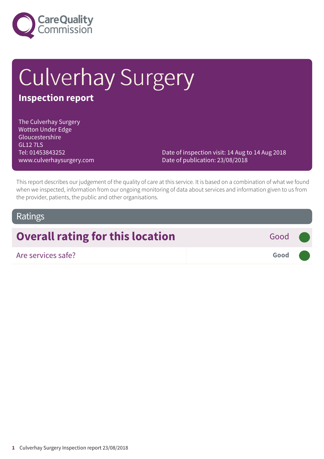

# Culverhay Surgery

### **Inspection report**

The Culverhay Surgery Wotton Under Edge Gloucestershire GL12 7LS Tel: 01453843252 www.culverhaysurgery.com

Date of inspection visit: 14 Aug to 14 Aug 2018 Date of publication: 23/08/2018

This report describes our judgement of the quality of care at this service. It is based on a combination of what we found when we inspected, information from our ongoing monitoring of data about services and information given to us from the provider, patients, the public and other organisations.

### Ratings

# **Overall rating for this location** Good

Are services safe? **Good –––**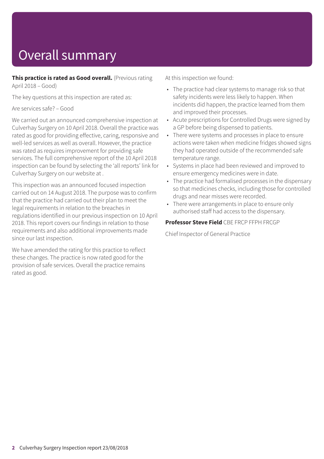# Overall summary

**This practice is rated as Good overall.** (Previous rating April 2018 – Good)

The key questions at this inspection are rated as:

Are services safe? – Good

We carried out an announced comprehensive inspection at Culverhay Surgery on 10 April 2018. Overall the practice was rated as good for providing effective, caring, responsive and well-led services as well as overall. However, the practice was rated as requires improvement for providing safe services. The full comprehensive report of the 10 April 2018 inspection can be found by selecting the 'all reports' link for Culverhay Surgery on our website at .

This inspection was an announced focused inspection carried out on 14 August 2018. The purpose was to confirm that the practice had carried out their plan to meet the legal requirements in relation to the breaches in regulations identified in our previous inspection on 10 April 2018. This report covers our findings in relation to those requirements and also additional improvements made since our last inspection.

We have amended the rating for this practice to reflect these changes. The practice is now rated good for the provision of safe services. Overall the practice remains rated as good.

At this inspection we found:

- The practice had clear systems to manage risk so that safety incidents were less likely to happen. When incidents did happen, the practice learned from them and improved their processes.
- Acute prescriptions for Controlled Drugs were signed by a GP before being dispensed to patients.
- There were systems and processes in place to ensure actions were taken when medicine fridges showed signs they had operated outside of the recommended safe temperature range.
- Systems in place had been reviewed and improved to ensure emergency medicines were in date.
- The practice had formalised processes in the dispensary so that medicines checks, including those for controlled drugs and near misses were recorded.
- There were arrangements in place to ensure only authorised staff had access to the dispensary.

**Professor Steve Field** CBE FRCP FFPH FRCGP

Chief Inspector of General Practice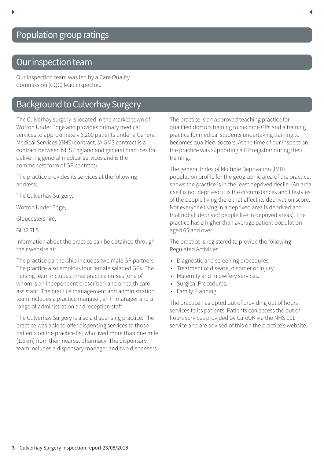## Population group ratings

### Our inspection team

Our inspection team was led by a Care Quality Commission (CQC) lead inspector**.**

### Background to Culverhay Surgery

The Culverhay surgery is located in the market town of Wotton Under Edge and provides primary medical services to approximately 6,200 patients under a General Medical Services (GMS) contract. (A GMS contract is a contract between NHS England and general practices for delivering general medical services and is the commonest form of GP contract).

The practice provides its services at the following address:

The Culverhay Surgery,

Wotton Under Edge,

Gloucestershire,

GL12 7LS.

Information about the practice can be obtained through their website at:

The practice partnership includes two male GP partners. The practice also employs four female salaried GPs. The nursing team includes three practice nurses (one of whom is an independent prescriber) and a health care assistant. The practice management and administration team includes a practice manager, an IT manager and a range of administration and reception staff.

The Culverhay Surgery is also a dispensing practice. The practice was able to offer dispensing services to those patients on the practice list who lived more than one mile (1.6km) from their nearest pharmacy. The dispensary team includes a dispensary manager and two dispensers.

The practice is an approved teaching practice for qualified doctors training to become GPs and a training practice for medical students undertaking training to becomes qualified doctors. At the time of our inspection, the practice was supporting a GP registrar during their training.

The general Index of Multiple Deprivation (IMD) population profile for the geographic area of the practice, shows the practice is in the least deprived decile. (An area itself is not deprived: it is the circumstances and lifestyles of the people living there that affect its deprivation score. Not everyone living in a deprived area is deprived and that not all deprived people live in deprived areas). The practice has a higher than average patient population aged 65 and over.

The practice is registered to provide the following Regulated Activities:

- Diagnostic and screening procedures.
- Treatment of disease, disorder or injury.
- Maternity and midwifery services.
- Surgical Procedures.
- Family Planning.

The practice has opted out of providing out of hours services to its patients. Patients can access the out of hours services provided by CareUK via the NHS 111 service and are advised of this on the practice's website.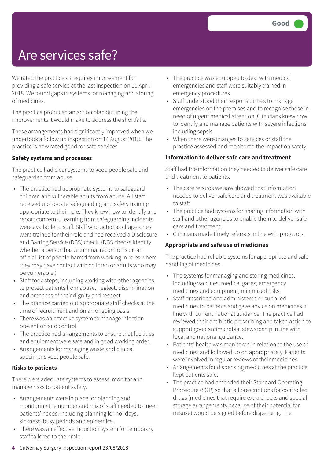# Are services safe?

We rated the practice as requires improvement for providing a safe service at the last inspection on 10 April 2018. We found gaps in systems for managing and storing of medicines.

The practice produced an action plan outlining the improvements it would make to address the shortfalls.

These arrangements had significantly improved when we undertook a follow up inspection on 14 August 2018. The practice is now rated good for safe services

#### **Safety systems and processes**

The practice had clear systems to keep people safe and safeguarded from abuse.

- The practice had appropriate systems to safeguard children and vulnerable adults from abuse. All staff received up-to-date safeguarding and safety training appropriate to their role. They knew how to identify and report concerns. Learning from safeguarding incidents were available to staff. Staff who acted as chaperones were trained for their role and had received a Disclosure and Barring Service (DBS) check. (DBS checks identify whether a person has a criminal record or is on an official list of people barred from working in roles where they may have contact with children or adults who may be vulnerable.)
- Staff took steps, including working with other agencies, to protect patients from abuse, neglect, discrimination and breaches of their dignity and respect.
- The practice carried out appropriate staff checks at the time of recruitment and on an ongoing basis.
- There was an effective system to manage infection prevention and control.
- The practice had arrangements to ensure that facilities and equipment were safe and in good working order.
- Arrangements for managing waste and clinical specimens kept people safe.

#### **Risks to patients**

There were adequate systems to assess, monitor and manage risks to patient safety.

- Arrangements were in place for planning and monitoring the number and mix of staff needed to meet patients' needs, including planning for holidays, sickness, busy periods and epidemics.
- There was an effective induction system for temporary staff tailored to their role.
- The practice was equipped to deal with medical emergencies and staff were suitably trained in emergency procedures.
- Staff understood their responsibilities to manage emergencies on the premises and to recognise those in need of urgent medical attention. Clinicians knew how to identify and manage patients with severe infections including sepsis.
- When there were changes to services or staff the practice assessed and monitored the impact on safety.

#### **Information to deliver safe care and treatment**

Staff had the information they needed to deliver safe care and treatment to patients.

- The care records we saw showed that information needed to deliver safe care and treatment was available to staff.
- The practice had systems for sharing information with staff and other agencies to enable them to deliver safe care and treatment.
- Clinicians made timely referrals in line with protocols.

#### **Appropriate and safe use of medicines**

The practice had reliable systems for appropriate and safe handling of medicines.

- The systems for managing and storing medicines, including vaccines, medical gases, emergency medicines and equipment, minimised risks.
- Staff prescribed and administered or supplied medicines to patients and gave advice on medicines in line with current national guidance. The practice had reviewed their antibiotic prescribing and taken action to support good antimicrobial stewardship in line with local and national guidance.
- Patients' health was monitored in relation to the use of medicines and followed up on appropriately. Patients were involved in regular reviews of their medicines.
- Arrangements for dispensing medicines at the practice kept patients safe.
- The practice had amended their Standard Operating Procedure (SOP) so that all prescriptions for controlled drugs (medicines that require extra checks and special storage arrangements because of their potential for misuse) would be signed before dispensing. The

**4** Culverhay Surgery Inspection report 23/08/2018